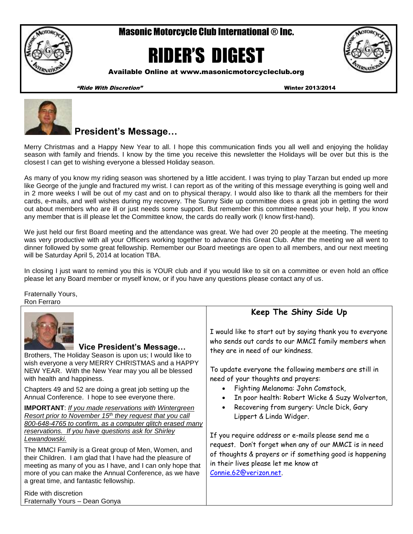Masonic Motorcycle Club International ® Inc.

# RIDER'S DIGEST



Available Online at www.masonicmotorcycleclub.org

"Ride With Discretion" Winter 2013/2014



# **President's Message…**

Merry Christmas and a Happy New Year to all. I hope this communication finds you all well and enjoying the holiday season with family and friends. I know by the time you receive this newsletter the Holidays will be over but this is the closest I can get to wishing everyone a blessed Holiday season.

As many of you know my riding season was shortened by a little accident. I was trying to play Tarzan but ended up more like George of the jungle and fractured my wrist. I can report as of the writing of this message everything is going well and in 2 more weeks I will be out of my cast and on to physical therapy. I would also like to thank all the members for their cards, e-mails, and well wishes during my recovery. The Sunny Side up committee does a great job in getting the word out about members who are ill or just needs some support. But remember this committee needs your help, If you know any member that is ill please let the Committee know, the cards do really work (I know first-hand).

We just held our first Board meeting and the attendance was great. We had over 20 people at the meeting. The meeting was very productive with all your Officers working together to advance this Great Club. After the meeting we all went to dinner followed by some great fellowship. Remember our Board meetings are open to all members, and our next meeting will be Saturday April 5, 2014 at location TBA.

In closing I just want to remind you this is YOUR club and if you would like to sit on a committee or even hold an office please let any Board member or myself know, or if you have any questions please contact any of us.

Fraternally Yours, Ron Ferraro

| Vice President's Message<br>Brothers, The Holiday Season is upon us; I would like to<br>wish everyone a very MERRY CHRISTMAS and a HAPPY<br>NEW YEAR. With the New Year may you all be blessed<br>with health and happiness.                                                                                                                                                                                                                                                                                                                                   | Keep The Shiny Side Up<br>I would like to start out by saying thank you to everyone<br>who sends out cards to our MMCI family members when<br>they are in need of our kindness.<br>To update everyone the following members are still in<br>need of your thoughts and prayers:                                                |
|----------------------------------------------------------------------------------------------------------------------------------------------------------------------------------------------------------------------------------------------------------------------------------------------------------------------------------------------------------------------------------------------------------------------------------------------------------------------------------------------------------------------------------------------------------------|-------------------------------------------------------------------------------------------------------------------------------------------------------------------------------------------------------------------------------------------------------------------------------------------------------------------------------|
| Chapters 49 and 52 are doing a great job setting up the<br>Annual Conference. I hope to see everyone there.                                                                                                                                                                                                                                                                                                                                                                                                                                                    | Fighting Melanoma: John Comstock,<br>In poor health: Robert Wicke & Suzy Wolverton,                                                                                                                                                                                                                                           |
| <b>IMPORTANT:</b> If you made reservations with Wintergreen<br>Resort prior to November 15 <sup>th</sup> they request that you call<br>800-648-4765 to confirm, as a computer glitch erased many<br>reservations. If you have questions ask for Shirley<br>Lewandowski.<br>The MMCI Family is a Great group of Men, Women, and<br>their Children. I am glad that I have had the pleasure of<br>meeting as many of you as I have, and I can only hope that<br>more of you can make the Annual Conference, as we have<br>a great time, and fantastic fellowship. | Recovering from surgery: Uncle Dick, Gary<br>$\bullet$<br>Lippert & Linda Widger.<br>If you require address or e-mails please send me a<br>request. Don't forget when any of our MMCI is in need<br>of thoughts & prayers or if something good is happening<br>in their lives please let me know at<br>Connie.62@verizon.net. |
| Ride with discretion<br>Fraternally Yours - Dean Gonya                                                                                                                                                                                                                                                                                                                                                                                                                                                                                                         |                                                                                                                                                                                                                                                                                                                               |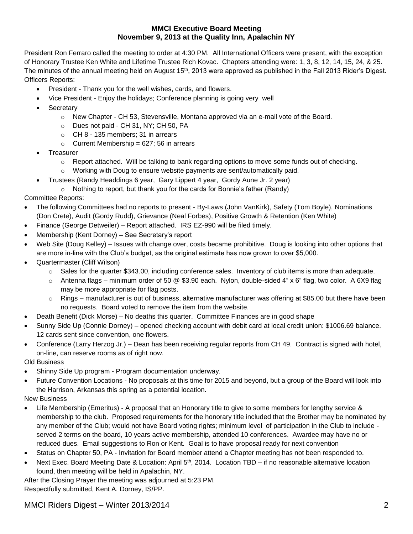#### **MMCI Executive Board Meeting November 9, 2013 at the Quality Inn, Apalachin NY**

President Ron Ferraro called the meeting to order at 4:30 PM. All International Officers were present, with the exception of Honorary Trustee Ken White and Lifetime Trustee Rich Kovac. Chapters attending were: 1, 3, 8, 12, 14, 15, 24, & 25. The minutes of the annual meeting held on August 15<sup>th</sup>, 2013 were approved as published in the Fall 2013 Rider's Digest. Officers Reports:

- President Thank you for the well wishes, cards, and flowers.
- Vice President Enjoy the holidays; Conference planning is going very well
- **Secretary** 
	- $\circ$  New Chapter CH 53, Stevensville, Montana approved via an e-mail vote of the Board.
	- o Dues not paid CH 31, NY; CH 50, PA
	- o CH 8 135 members; 31 in arrears
	- $\circ$  Current Membership = 627; 56 in arrears
- Treasurer
	- $\circ$  Report attached. Will be talking to bank regarding options to move some funds out of checking.
	- $\circ$  Working with Doug to ensure website payments are sent/automatically paid.
- Trustees (Randy Headdings 6 year, Gary Lippert 4 year, Gordy Aune Jr. 2 year)
- o Nothing to report, but thank you for the cards for Bonnie's father (Randy)

#### Committee Reports:

- The following Committees had no reports to present By-Laws (John VanKirk), Safety (Tom Boyle), Nominations (Don Crete), Audit (Gordy Rudd), Grievance (Neal Forbes), Positive Growth & Retention (Ken White)
- Finance (George Detweiler) Report attached. IRS EZ-990 will be filed timely.
- Membership (Kent Dorney) See Secretary's report
- Web Site (Doug Kelley) Issues with change over, costs became prohibitive. Doug is looking into other options that are more in-line with the Club's budget, as the original estimate has now grown to over \$5,000.
- Quartermaster (Cliff Wilson)
	- $\circ$  Sales for the quarter \$343.00, including conference sales. Inventory of club items is more than adequate.
	- $\circ$  Antenna flags minimum order of 50 @ \$3.90 each. Nylon, double-sided 4" x 6" flag, two color. A 6X9 flag may be more appropriate for flag posts.
	- $\circ$  Rings manufacturer is out of business, alternative manufacturer was offering at \$85.00 but there have been no requests. Board voted to remove the item from the website.
- Death Benefit (Dick Morse) No deaths this quarter. Committee Finances are in good shape
- Sunny Side Up (Connie Dorney) opened checking account with debit card at local credit union: \$1006.69 balance. 12 cards sent since convention, one flowers.
- Conference (Larry Herzog Jr.) Dean has been receiving regular reports from CH 49. Contract is signed with hotel, on-line, can reserve rooms as of right now.

Old Business

- Shinny Side Up program Program documentation underway.
- Future Convention Locations No proposals at this time for 2015 and beyond, but a group of the Board will look into the Harrison, Arkansas this spring as a potential location.
- New Business
- Life Membership (Emeritus) A proposal that an Honorary title to give to some members for lengthy service & membership to the club. Proposed requirements for the honorary title included that the Brother may be nominated by any member of the Club; would not have Board voting rights; minimum level of participation in the Club to include served 2 terms on the board, 10 years active membership, attended 10 conferences. Awardee may have no or reduced dues. Email suggestions to Ron or Kent. Goal is to have proposal ready for next convention
- Status on Chapter 50, PA Invitation for Board member attend a Chapter meeting has not been responded to.
- Next Exec. Board Meeting Date & Location: April 5<sup>th</sup>, 2014. Location TBD if no reasonable alternative location found, then meeting will be held in Apalachin, NY.

After the Closing Prayer the meeting was adjourned at 5:23 PM. Respectfully submitted, Kent A. Dorney, IS/PP.

## MMCI Riders Digest – Winter 2013/2014 2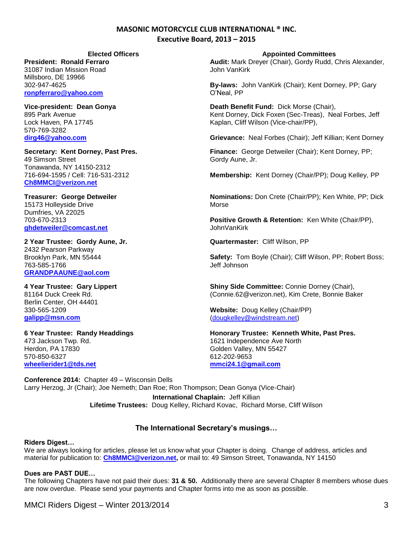#### **MASONIC MOTORCYCLE CLUB INTERNATIONAL ® INC. Executive Board, 2013 – 2015**

**President: Ronald Ferraro** 31087 Indian Mission Road Millsboro, DE 19966 302-947-4625 **[ronpferraro@yahoo.com](mailto:ronpferraro@yahoo.com)**

**Vice-president: Dean Gonya** 895 Park Avenue Lock Haven, PA 17745 570-769-3282 **[dirg46@yahoo.com](mailto:dirg46@yahoo.com)**

**Secretary: Kent Dorney, Past Pres.** 49 Simson Street Tonawanda, NY 14150-2312 716-694-1595 / Cell: 716-531-2312 **[Ch8MMCI@verizon.net](mailto:Ch8MMCI@verizon.net)**

**Treasurer: George Detweiler** 15173 Holleyside Drive Dumfries, VA 22025 703-670-2313

**[ghdetweiler@comcast.net](mailto:ghdetweiler@comcast.net)** 

**2 Year Trustee: Gordy Aune, Jr.** 2432 Pearson Parkway Brooklyn Park, MN 55444 763-585-1766 **[GRANDPAAUNE@aol.com](mailto:GRANDPAAUNE@aol.com)**

**4 Year Trustee: Gary Lippert** 81164 Duck Creek Rd. Berlin Center, OH 44401 330-565-1209 **[galipp@msn.com](mailto:galipp@msn.com)**

**6 Year Trustee: Randy Headdings** 473 Jackson Twp. Rd. Herdon, PA 17830 570-850-6327 **[wheelierider1@tds.net](mailto:wheelierider1@tds.net)**

**Elected Officers Appointed Committees**

**Audit:** Mark Dreyer (Chair), Gordy Rudd, Chris Alexander, John VanKirk

**By-laws:** John VanKirk (Chair); Kent Dorney, PP; Gary O'Neal, PP

**Death Benefit Fund:** Dick Morse (Chair), Kent Dorney, Dick Foxen (Sec-Treas), Neal Forbes, Jeff Kaplan, Cliff Wilson (Vice-chair/PP),

**Grievance:** Neal Forbes (Chair); Jeff Killian; Kent Dorney

**Finance:** George Detweiler (Chair); Kent Dorney, PP; Gordy Aune, Jr.

**Membership:** Kent Dorney (Chair/PP); Doug Kelley, PP

**Nominations:** Don Crete (Chair/PP); Ken White, PP; Dick Morse

**Positive Growth & Retention:** Ken White (Chair/PP), JohnVanKirk

**Quartermaster:** Cliff Wilson, PP

**Safety:** Tom Boyle (Chair); Cliff Wilson, PP; Robert Boss; Jeff Johnson

**Shiny Side Committee:** Connie Dorney (Chair), [\(Connie.62@verizon.net\)](mailto:Connie.62@verizon.net), Kim Crete, Bonnie Baker

**Website:** Doug Kelley (Chair/PP) [\(dougkelley@windstream.net\)](mailto:dougkelley@windstream.net)

**Honorary Trustee: Kenneth White, Past Pres.** 1621 Independence Ave North Golden Valley, MN 55427 612-202-9653 **[mmci24.1@gmail.com](mailto:mmci24.1@gmail.com)**

**Conference 2014:** Chapter 49 – Wisconsin Dells Larry Herzog, Jr (Chair); Joe Nemeth; Dan Roe; Ron Thompson; Dean Gonya (Vice-Chair) **International Chaplain:** Jeff Killian **Lifetime Trustees:** Doug Kelley, Richard Kovac, Richard Morse, Cliff Wilson

#### **The International Secretary's musings…**

#### **Riders Digest…**

We are always looking for articles, please let us know what your Chapter is doing. Change of address, articles and material for publication to: **[Ch8MMCI@verizon.net,](mailto:Ch8MMCI@verizon.net)** or mail to: 49 Simson Street, Tonawanda, NY 14150

#### **Dues are PAST DUE…**

The following Chapters have not paid their dues: **31 & 50.** Additionally there are several Chapter 8 members whose dues are now overdue. Please send your payments and Chapter forms into me as soon as possible.